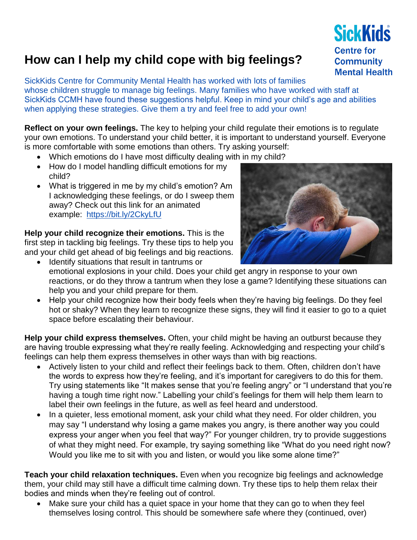## **How can I help my child cope with big feelings?**

SickKids Centre for Community Mental Health has worked with lots of families whose children struggle to manage big feelings. Many families who have worked with staff at SickKids CCMH have found these suggestions helpful. Keep in mind your child's age and abilities when applying these strategies. Give them a try and feel free to add your own!

**Reflect on your own feelings.** The key to helping your child regulate their emotions is to regulate your own emotions. To understand your child better, it is important to understand yourself. Everyone is more comfortable with some emotions than others. Try asking yourself:

- Which emotions do I have most difficulty dealing with in my child?
- How do I model handling difficult emotions for my child?
- What is triggered in me by my child's emotion? Am I acknowledging these feelings, or do I sweep them away? Check out this link for an animated example: <https://bit.ly/2CkyLfU>

**Help your child recognize their emotions.** This is the first step in tackling big feelings. Try these tips to help you and your child get ahead of big feelings and big reactions.

- Identify situations that result in tantrums or emotional explosions in your child. Does your child get angry in response to your own reactions, or do they throw a tantrum when they lose a game? Identifying these situations can help you and your child prepare for them.
- Help your child recognize how their body feels when they're having big feelings. Do they feel hot or shaky? When they learn to recognize these signs, they will find it easier to go to a quiet space before escalating their behaviour.

**Help your child express themselves.** Often, your child might be having an outburst because they are having trouble expressing what they're really feeling. Acknowledging and respecting your child's feelings can help them express themselves in other ways than with big reactions.

- Actively listen to your child and reflect their feelings back to them. Often, children don't have the words to express how they're feeling, and it's important for caregivers to do this for them. Try using statements like "It makes sense that you're feeling angry" or "I understand that you're having a tough time right now." Labelling your child's feelings for them will help them learn to label their own feelings in the future, as well as feel heard and understood.
- In a quieter, less emotional moment, ask your child what they need. For older children, you may say "I understand why losing a game makes you angry, is there another way you could express your anger when you feel that way?" For younger children, try to provide suggestions of what they might need. For example, try saying something like "What do you need right now? Would you like me to sit with you and listen, or would you like some alone time?"

**Teach your child relaxation techniques.** Even when you recognize big feelings and acknowledge them, your child may still have a difficult time calming down. Try these tips to help them relax their bodies and minds when they're feeling out of control.

• Make sure your child has a quiet space in your home that they can go to when they feel themselves losing control. This should be somewhere safe where they (continued, over)